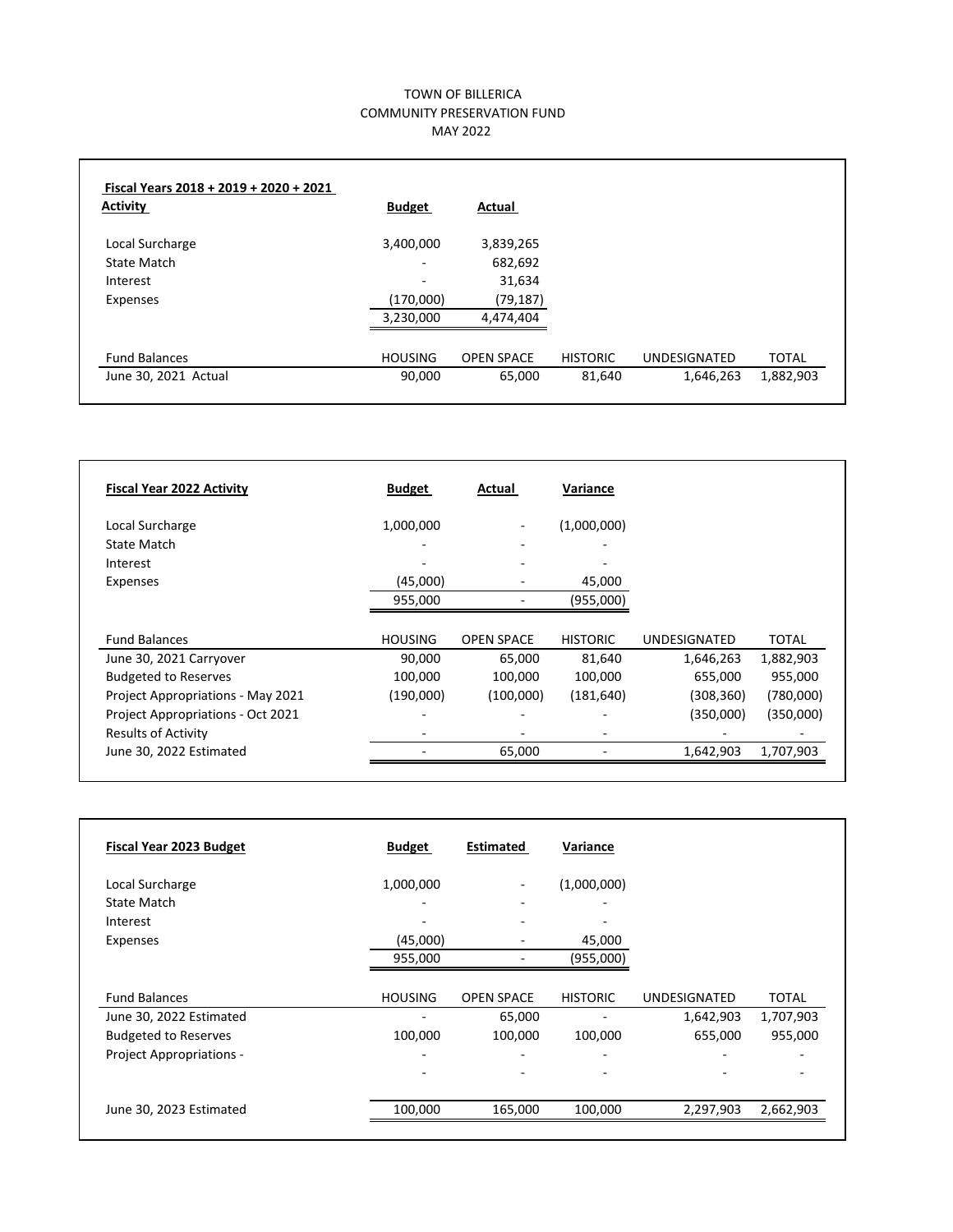## TOWN OF BILLERICA COMMUNITY PRESERVATION FUND MAY 2022

| <b>Activity</b>      | <b>Budget</b>  | Actual            |                 |                     |              |
|----------------------|----------------|-------------------|-----------------|---------------------|--------------|
| Local Surcharge      | 3,400,000      | 3,839,265         |                 |                     |              |
| State Match          | ۰              | 682,692           |                 |                     |              |
| Interest             | -              | 31,634            |                 |                     |              |
| Expenses             | (170,000)      | (79,187)          |                 |                     |              |
|                      | 3,230,000      | 4,474,404         |                 |                     |              |
| <b>Fund Balances</b> | <b>HOUSING</b> | <b>OPEN SPACE</b> | <b>HISTORIC</b> | <b>UNDESIGNATED</b> | <b>TOTAL</b> |
| June 30, 2021 Actual | 90,000         | 65,000            | 81,640          | 1,646,263           | 1,882,903    |

| <b>Fiscal Year 2022 Activity</b>  | <b>Budget</b>  | Actual            | Variance        |                     |              |
|-----------------------------------|----------------|-------------------|-----------------|---------------------|--------------|
| Local Surcharge                   | 1,000,000      |                   | (1,000,000)     |                     |              |
| State Match                       | ۰              |                   |                 |                     |              |
| Interest                          |                |                   |                 |                     |              |
| Expenses                          | (45,000)       |                   | 45,000          |                     |              |
|                                   | 955,000        |                   | (955,000)       |                     |              |
| <b>Fund Balances</b>              | <b>HOUSING</b> | <b>OPEN SPACE</b> | <b>HISTORIC</b> | <b>UNDESIGNATED</b> | <b>TOTAL</b> |
| June 30, 2021 Carryover           | 90,000         | 65,000            | 81,640          | 1,646,263           | 1,882,903    |
| <b>Budgeted to Reserves</b>       | 100,000        | 100,000           | 100,000         | 655,000             | 955,000      |
| Project Appropriations - May 2021 | (190,000)      | (100,000)         | (181, 640)      | (308, 360)          | (780,000)    |
| Project Appropriations - Oct 2021 |                |                   |                 | (350,000)           | (350,000)    |
| <b>Results of Activity</b>        |                |                   |                 |                     |              |
| June 30, 2022 Estimated           |                | 65,000            |                 | 1,642,903           | 1,707,903    |

| <b>Fiscal Year 2023 Budget</b>  | <b>Budget</b>  | <b>Estimated</b>         | Variance        |                     |              |
|---------------------------------|----------------|--------------------------|-----------------|---------------------|--------------|
| Local Surcharge                 | 1,000,000      |                          | (1,000,000)     |                     |              |
| State Match                     |                | ٠                        |                 |                     |              |
| Interest                        |                |                          |                 |                     |              |
| <b>Expenses</b>                 | (45,000)       |                          | 45,000          |                     |              |
|                                 | 955,000        |                          | (955,000)       |                     |              |
|                                 |                |                          |                 |                     |              |
| <b>Fund Balances</b>            | <b>HOUSING</b> | <b>OPEN SPACE</b>        | <b>HISTORIC</b> | <b>UNDESIGNATED</b> | <b>TOTAL</b> |
| June 30, 2022 Estimated         |                | 65,000                   |                 | 1,642,903           | 1,707,903    |
| <b>Budgeted to Reserves</b>     | 100,000        | 100,000                  | 100,000         | 655,000             | 955,000      |
| <b>Project Appropriations -</b> |                | $\overline{\phantom{0}}$ | ٠               |                     |              |
|                                 |                |                          |                 |                     |              |
| June 30, 2023 Estimated         | 100,000        | 165,000                  | 100,000         | 2,297,903           | 2,662,903    |